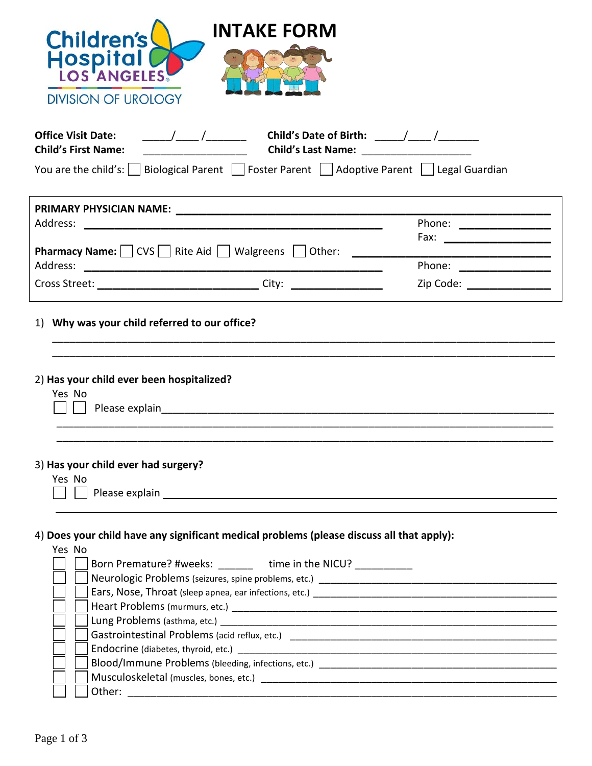| <b>INTAKE FORM</b><br><b>Children's</b>                                                                                                                                                                                                                                                                                                                                                                                                                                                                                                                                                         |                                                                                                                                                                                                                               |                            |  |  |  |  |
|-------------------------------------------------------------------------------------------------------------------------------------------------------------------------------------------------------------------------------------------------------------------------------------------------------------------------------------------------------------------------------------------------------------------------------------------------------------------------------------------------------------------------------------------------------------------------------------------------|-------------------------------------------------------------------------------------------------------------------------------------------------------------------------------------------------------------------------------|----------------------------|--|--|--|--|
| Hospita<br>LOS ANGELES                                                                                                                                                                                                                                                                                                                                                                                                                                                                                                                                                                          |                                                                                                                                                                                                                               |                            |  |  |  |  |
| <b>DIVISION OF UROLOGY</b>                                                                                                                                                                                                                                                                                                                                                                                                                                                                                                                                                                      |                                                                                                                                                                                                                               |                            |  |  |  |  |
| <b>Office Visit Date:</b><br>$\frac{1}{\sqrt{1-\frac{1}{2}}}\frac{1}{\sqrt{1-\frac{1}{2}}}\frac{1}{\sqrt{1-\frac{1}{2}}}\frac{1}{\sqrt{1-\frac{1}{2}}}\frac{1}{\sqrt{1-\frac{1}{2}}}\frac{1}{\sqrt{1-\frac{1}{2}}}\frac{1}{\sqrt{1-\frac{1}{2}}}\frac{1}{\sqrt{1-\frac{1}{2}}}\frac{1}{\sqrt{1-\frac{1}{2}}}\frac{1}{\sqrt{1-\frac{1}{2}}}\frac{1}{\sqrt{1-\frac{1}{2}}}\frac{1}{\sqrt{1-\frac{1}{2}}}\frac{1}{\sqrt{1-\frac{1}{2}}}\frac{1}{\sqrt{1-\frac{$<br><b>Child's First Name:</b><br>You are the child's:     Biological Parent     Foster Parent     Adoptive Parent   Legal Guardian |                                                                                                                                                                                                                               |                            |  |  |  |  |
|                                                                                                                                                                                                                                                                                                                                                                                                                                                                                                                                                                                                 |                                                                                                                                                                                                                               |                            |  |  |  |  |
| Address:                                                                                                                                                                                                                                                                                                                                                                                                                                                                                                                                                                                        |                                                                                                                                                                                                                               | Phone: ______________      |  |  |  |  |
|                                                                                                                                                                                                                                                                                                                                                                                                                                                                                                                                                                                                 |                                                                                                                                                                                                                               | Fax: _____________________ |  |  |  |  |
| <b>Pharmacy Name:</b> $\vert$ $\vert$ CVS $\vert$ $\vert$ Rite Aid $\vert$ $\vert$ Walgreens $\vert$ $\vert$ Other:                                                                                                                                                                                                                                                                                                                                                                                                                                                                             |                                                                                                                                                                                                                               |                            |  |  |  |  |
| Address:                                                                                                                                                                                                                                                                                                                                                                                                                                                                                                                                                                                        |                                                                                                                                                                                                                               | Phone: $\frac{1}{2}$       |  |  |  |  |
| Cross Street: __________________________________ City: _________________________                                                                                                                                                                                                                                                                                                                                                                                                                                                                                                                |                                                                                                                                                                                                                               | Zip Code: ________________ |  |  |  |  |
| 2) Has your child ever been hospitalized?<br>Yes No                                                                                                                                                                                                                                                                                                                                                                                                                                                                                                                                             |                                                                                                                                                                                                                               |                            |  |  |  |  |
| 3) Has your child ever had surgery?<br>Yes No                                                                                                                                                                                                                                                                                                                                                                                                                                                                                                                                                   |                                                                                                                                                                                                                               |                            |  |  |  |  |
| $\sim 10$                                                                                                                                                                                                                                                                                                                                                                                                                                                                                                                                                                                       | Please explain example and the state of the state of the state of the state of the state of the state of the state of the state of the state of the state of the state of the state of the state of the state of the state of |                            |  |  |  |  |
|                                                                                                                                                                                                                                                                                                                                                                                                                                                                                                                                                                                                 |                                                                                                                                                                                                                               |                            |  |  |  |  |
| 4) Does your child have any significant medical problems (please discuss all that apply):                                                                                                                                                                                                                                                                                                                                                                                                                                                                                                       |                                                                                                                                                                                                                               |                            |  |  |  |  |
| Yes No                                                                                                                                                                                                                                                                                                                                                                                                                                                                                                                                                                                          |                                                                                                                                                                                                                               |                            |  |  |  |  |
|                                                                                                                                                                                                                                                                                                                                                                                                                                                                                                                                                                                                 | Born Premature? #weeks: _______ time in the NICU? ___________                                                                                                                                                                 |                            |  |  |  |  |
|                                                                                                                                                                                                                                                                                                                                                                                                                                                                                                                                                                                                 |                                                                                                                                                                                                                               |                            |  |  |  |  |
|                                                                                                                                                                                                                                                                                                                                                                                                                                                                                                                                                                                                 |                                                                                                                                                                                                                               |                            |  |  |  |  |
|                                                                                                                                                                                                                                                                                                                                                                                                                                                                                                                                                                                                 |                                                                                                                                                                                                                               |                            |  |  |  |  |
|                                                                                                                                                                                                                                                                                                                                                                                                                                                                                                                                                                                                 |                                                                                                                                                                                                                               |                            |  |  |  |  |
|                                                                                                                                                                                                                                                                                                                                                                                                                                                                                                                                                                                                 |                                                                                                                                                                                                                               |                            |  |  |  |  |
|                                                                                                                                                                                                                                                                                                                                                                                                                                                                                                                                                                                                 |                                                                                                                                                                                                                               |                            |  |  |  |  |
|                                                                                                                                                                                                                                                                                                                                                                                                                                                                                                                                                                                                 |                                                                                                                                                                                                                               |                            |  |  |  |  |
|                                                                                                                                                                                                                                                                                                                                                                                                                                                                                                                                                                                                 |                                                                                                                                                                                                                               |                            |  |  |  |  |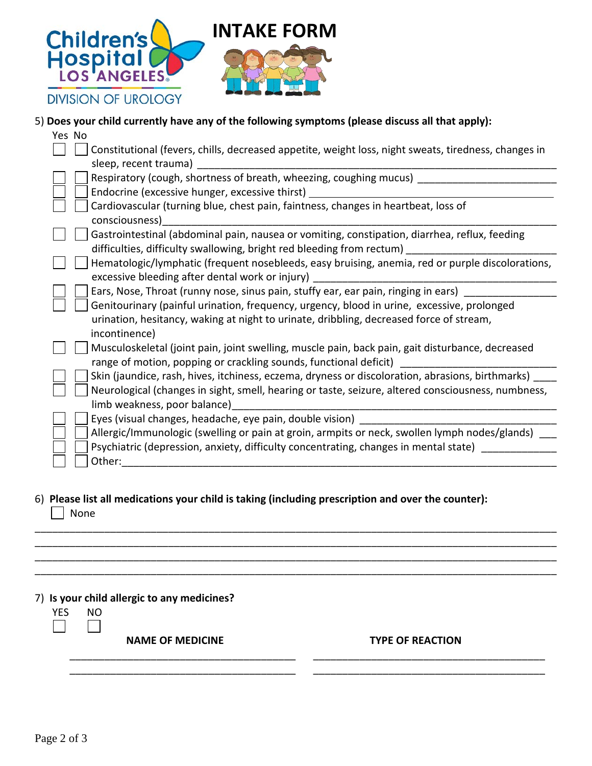

## 5) **Does your child currently have any of the following symptoms (please discuss all that apply):**

| Yes No                                                                                                                                                                |
|-----------------------------------------------------------------------------------------------------------------------------------------------------------------------|
| Constitutional (fevers, chills, decreased appetite, weight loss, night sweats, tiredness, changes in                                                                  |
| sleep, recent trauma)                                                                                                                                                 |
| Respiratory (cough, shortness of breath, wheezing, coughing mucus)                                                                                                    |
| Endocrine (excessive hunger, excessive thirst) _________________________________                                                                                      |
| Cardiovascular (turning blue, chest pain, faintness, changes in heartbeat, loss of<br>consciousness)                                                                  |
| Gastrointestinal (abdominal pain, nausea or vomiting, constipation, diarrhea, reflux, feeding                                                                         |
| difficulties, difficulty swallowing, bright red bleeding from rectum)                                                                                                 |
| Hematologic/lymphatic (frequent nosebleeds, easy bruising, anemia, red or purple discolorations,<br>excessive bleeding after dental work or injury)                   |
| Ears, Nose, Throat (runny nose, sinus pain, stuffy ear, ear pain, ringing in ears) __                                                                                 |
| Genitourinary (painful urination, frequency, urgency, blood in urine, excessive, prolonged                                                                            |
| urination, hesitancy, waking at night to urinate, dribbling, decreased force of stream,                                                                               |
| incontinence)                                                                                                                                                         |
| Musculoskeletal (joint pain, joint swelling, muscle pain, back pain, gait disturbance, decreased<br>range of motion, popping or crackling sounds, functional deficit) |
| Skin (jaundice, rash, hives, itchiness, eczema, dryness or discoloration, abrasions, birthmarks)                                                                      |
| Neurological (changes in sight, smell, hearing or taste, seizure, altered consciousness, numbness,<br>limb weakness, poor balance)                                    |
| Eyes (visual changes, headache, eye pain, double vision)                                                                                                              |
| Allergic/Immunologic (swelling or pain at groin, armpits or neck, swollen lymph nodes/glands) ___                                                                     |
| Psychiatric (depression, anxiety, difficulty concentrating, changes in mental state)                                                                                  |
| Other:                                                                                                                                                                |
|                                                                                                                                                                       |

## 6) **Please list all medications your child is taking (including prescription and over the counter):** None

\_\_\_\_\_\_\_\_\_\_\_\_\_\_\_\_\_\_\_\_\_\_\_\_\_\_\_\_\_\_\_\_\_\_\_\_\_\_\_\_\_\_\_\_\_\_\_\_\_\_\_\_\_\_\_\_\_\_\_\_\_\_\_\_\_\_\_\_\_\_\_\_\_\_\_\_\_\_\_\_\_\_\_\_\_\_\_\_\_\_ \_\_\_\_\_\_\_\_\_\_\_\_\_\_\_\_\_\_\_\_\_\_\_\_\_\_\_\_\_\_\_\_\_\_\_\_\_\_\_\_\_\_\_\_\_\_\_\_\_\_\_\_\_\_\_\_\_\_\_\_\_\_\_\_\_\_\_\_\_\_\_\_\_\_\_\_\_\_\_\_\_\_\_\_\_\_\_\_\_\_ \_\_\_\_\_\_\_\_\_\_\_\_\_\_\_\_\_\_\_\_\_\_\_\_\_\_\_\_\_\_\_\_\_\_\_\_\_\_\_\_\_\_\_\_\_\_\_\_\_\_\_\_\_\_\_\_\_\_\_\_\_\_\_\_\_\_\_\_\_\_\_\_\_\_\_\_\_\_\_\_\_\_\_\_\_\_\_\_\_\_ \_\_\_\_\_\_\_\_\_\_\_\_\_\_\_\_\_\_\_\_\_\_\_\_\_\_\_\_\_\_\_\_\_\_\_\_\_\_\_\_\_\_\_\_\_\_\_\_\_\_\_\_\_\_\_\_\_\_\_\_\_\_\_\_\_\_\_\_\_\_\_\_\_\_\_\_\_\_\_\_\_\_\_\_\_\_\_\_\_\_

\_\_\_\_\_\_\_\_\_\_\_\_\_\_\_\_\_\_\_\_\_\_\_\_\_\_\_\_\_\_\_\_\_\_\_\_\_\_\_ \_\_\_\_\_\_\_\_\_\_\_\_\_\_\_\_\_\_\_\_\_\_\_\_\_\_\_\_\_\_\_\_\_\_\_\_\_\_\_\_ \_\_\_\_\_\_\_\_\_\_\_\_\_\_\_\_\_\_\_\_\_\_\_\_\_\_\_\_\_\_\_\_\_\_\_\_\_\_\_ \_\_\_\_\_\_\_\_\_\_\_\_\_\_\_\_\_\_\_\_\_\_\_\_\_\_\_\_\_\_\_\_\_\_\_\_\_\_\_\_

7) **Is your child allergic to any medicines?**

| Υ<br>⊢ヽ | NO. |
|---------|-----|
|         |     |

**NAME OF MEDICINE TYPE OF REACTION**